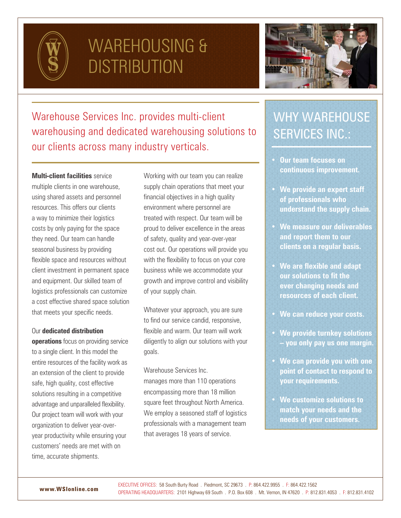

# WAREHOUSING & **DISTRIBUTION**



Warehouse Services Inc. provides multi-client warehousing and dedicated warehousing solutions to our clients across many industry verticals.

**Multi-client facilities** service multiple clients in one warehouse, using shared assets and personnel resources. This offers our clients a way to minimize their logistics costs by only paying for the space they need. Our team can handle seasonal business by providing flexible space and resources without client investment in permanent space and equipment. Our skilled team of logistics professionals can customize a cost effective shared space solution that meets your specific needs.

### Our **dedicated distribution**

**operations** focus on providing service to a single client. In this model the entire resources of the facility work as an extension of the client to provide safe, high quality, cost effective solutions resulting in a competitive advantage and unparalleled flexibility. Our project team will work with your organization to deliver year-overyear productivity while ensuring your customers' needs are met with on time, accurate shipments.

Working with our team you can realize supply chain operations that meet your financial objectives in a high quality environment where personnel are treated with respect. Our team will be proud to deliver excellence in the areas of safety, quality and year-over-year cost out. Our operations will provide you with the flexibility to focus on your core business while we accommodate your growth and improve control and visibility of your supply chain.

Whatever your approach, you are sure to find our service candid, responsive, flexible and warm. Our team will work diligently to align our solutions with your goals.

### Warehouse Services Inc.

encompassing more than 18 million square feet throughout North America. We employ a seasoned staff of logistics professionals with a management team that averages 18 years of service. manages more than 110 operations

## WHY WAREHOUSE SERVICES INC.:

- **• Our team focuses on continuous improvement.**
- **• We provide an expert staff of professionals who understand the supply chain.**
- **• We measure our deliverables and report them to our clients on a regular basis.**
- **• We are flexible and adapt our solutions to fit the ever changing needs and resources of each client.**
- **• We can reduce your costs.**
- **• We provide turnkey solutions – you only pay us one margin.**
- **• We can provide you with one point of contact to respond to your requirements.**
- **• We customize solutions to match your needs and the needs of your customers.**